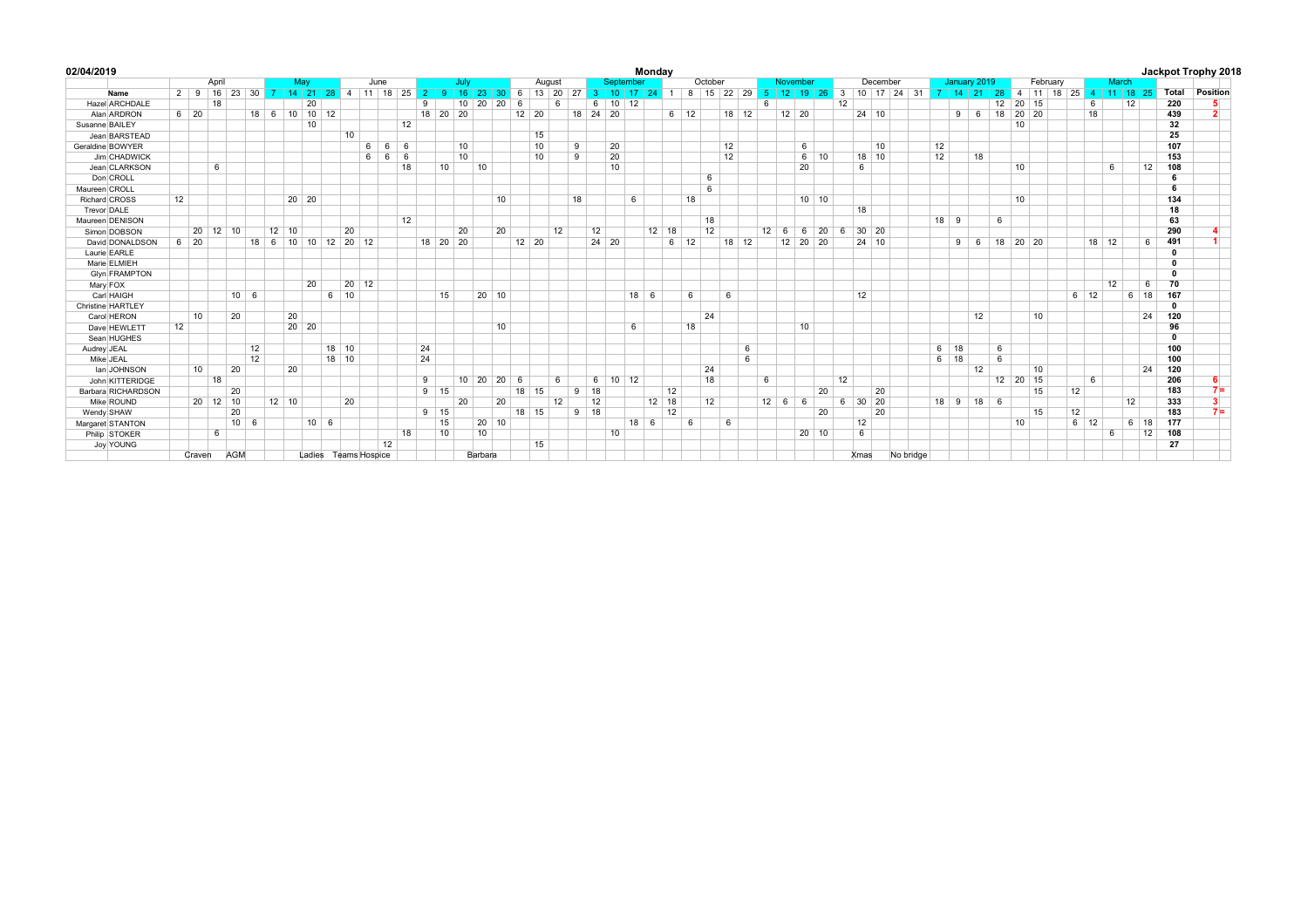| 02/04/2019           |    |                      |       |              |    |         |       |                      |         |               |            |    |                            |                 |         |       |              |                    |    |             |                    |           |             | Monday        |             |            |    |       |          |              |              |                     |    |                    |          |             |    |              |            |    |    |          |                                                        |               |              |              |              | Jackpot Trophy 2018     |
|----------------------|----|----------------------|-------|--------------|----|---------|-------|----------------------|---------|---------------|------------|----|----------------------------|-----------------|---------|-------|--------------|--------------------|----|-------------|--------------------|-----------|-------------|---------------|-------------|------------|----|-------|----------|--------------|--------------|---------------------|----|--------------------|----------|-------------|----|--------------|------------|----|----|----------|--------------------------------------------------------|---------------|--------------|--------------|--------------|-------------------------|
|                      |    |                      | April |              |    |         | May   |                      |         | June          |            |    |                            | July            |         |       |              | August             |    |             |                    | September |             |               |             | October    |    |       |          |              | November     |                     |    |                    | December |             |    | January 2019 |            |    |    | February |                                                        |               | <b>March</b> |              |              |                         |
| Name                 |    | 2 9 16 23 30 7 14 21 |       |              |    |         |       |                      |         | 28 4 11 18 25 |            |    | 2 <sup>1</sup><br><b>Q</b> | $-16$           | 23      |       |              | 30 6 13 20         |    |             | $27$ 3 10          |           |             | $17$ 24 1     |             | 8 15 22 29 |    |       | $-5$     | 12           |              | $19 \mid 26 \mid 3$ |    |                    |          | 10 17 24 31 |    |              |            |    |    |          | 7   14   21   28   4   11   18   25   4   11   18   25 |               |              |              | Total        | Position                |
| Hazel ARCHDALE       |    |                      | 18    |              |    |         | 20    |                      |         |               |            |    | 9                          | 10              | 20      | 20    | 6            |                    | 6  |             | 6                  | $10$ 12   |             |               |             |            |    |       | <b>6</b> |              |              |                     | 12 |                    |          |             |    |              |            | 12 |    | 20 15    | 6                                                      |               | 12           |              | 220          | 5.                      |
| Alan ARDRON          |    | $6 \mid 20$          |       |              |    |         |       | 18 6 10 10 12        |         |               |            |    | 18 20 20                   |                 |         |       |              | $12 \mid 20$       |    |             | 18 24 20           |           |             |               | $6 \mid 12$ |            |    | 18 12 |          |              | $12$ 20      |                     |    | 24 10              |          |             |    |              | $9 \t6$    |    |    | 18 20 20 | 18                                                     |               |              |              | 439          | $\overline{2}$          |
| Susanne BAILEY       |    |                      |       |              |    |         | 10    |                      |         |               |            | 12 |                            |                 |         |       |              |                    |    |             |                    |           |             |               |             |            |    |       |          |              |              |                     |    |                    |          |             |    |              |            |    | 10 |          |                                                        |               |              |              | 32           |                         |
| Jean BARSTEAD        |    |                      |       |              |    |         |       |                      | 10      |               |            |    |                            |                 |         |       |              | 15                 |    |             |                    |           |             |               |             |            |    |       |          |              |              |                     |    |                    |          |             |    |              |            |    |    |          |                                                        |               |              |              | 25           |                         |
| Geraldine BOWYER     |    |                      |       |              |    |         |       |                      |         | 6             | $6 \mid 6$ |    |                            | 10              |         |       |              | 10                 |    | 9           |                    | 20        |             |               |             |            | 12 |       |          |              | 6            |                     |    |                    | 10       |             | 12 |              |            |    |    |          |                                                        |               |              |              | 107          |                         |
| Jim CHADWICK         |    |                      |       |              |    |         |       |                      |         | $6^{\circ}$   | 6 6        |    |                            | 10              |         |       |              | 10                 |    | 9           |                    | 20        |             |               |             |            | 12 |       |          |              |              | $6 \mid 10$         |    | 18 10              |          |             | 12 |              | 18         |    |    |          |                                                        |               |              |              | 153          |                         |
| Jean CLARKSON        |    |                      | 6     |              |    |         |       |                      |         |               |            | 18 | 10                         |                 | 10      |       |              |                    |    |             |                    | 10        |             |               |             |            |    |       |          |              | 20           |                     |    | 6                  |          |             |    |              |            |    | 10 |          |                                                        | 6             |              | 12           | 108          |                         |
| Don CROLL            |    |                      |       |              |    |         |       |                      |         |               |            |    |                            |                 |         |       |              |                    |    |             |                    |           |             |               |             | 6          |    |       |          |              |              |                     |    |                    |          |             |    |              |            |    |    |          |                                                        |               |              |              | 6            |                         |
| Maureen CROLL        |    |                      |       |              |    |         |       |                      |         |               |            |    |                            |                 |         |       |              |                    |    |             |                    |           |             |               |             | 6          |    |       |          |              |              |                     |    |                    |          |             |    |              |            |    |    |          |                                                        |               |              |              | 6            |                         |
| Richard CROSS        | 12 |                      |       |              |    |         | 20 20 |                      |         |               |            |    |                            |                 |         | 10    |              |                    |    | 18          |                    |           | 6           |               |             | 18         |    |       |          |              | $10$ 10      |                     |    |                    |          |             |    |              |            |    | 10 |          |                                                        |               |              |              | 134          |                         |
| Trevor DALE          |    |                      |       |              |    |         |       |                      |         |               |            |    |                            |                 |         |       |              |                    |    |             |                    |           |             |               |             |            |    |       |          |              |              |                     |    | 18                 |          |             |    |              |            |    |    |          |                                                        |               |              |              | 18           |                         |
| Maureen DENISON      |    |                      |       |              |    |         |       |                      |         |               |            | 12 |                            |                 |         |       |              |                    |    |             |                    |           |             |               |             | 18         |    |       |          |              |              |                     |    |                    |          |             |    | $18$ 9       |            | 6  |    |          |                                                        |               |              |              | 63           |                         |
| Simon DOBSON         |    | 20 12 10             |       |              |    | $12$ 10 |       |                      | 20      |               |            |    |                            | 20              |         | 20    |              |                    | 12 |             | 12                 |           |             | $12 \quad 18$ |             | 12         |    |       |          | $12 \quad 6$ |              | 6 20 6              |    | $30 \quad 20$      |          |             |    |              |            |    |    |          |                                                        |               |              |              | 290          |                         |
| David DONALDSON      |    | $6 \mid 20$          |       |              |    |         |       | 18 6 10 10 12 20 12  |         |               |            |    | 18 20 20                   |                 |         |       |              | $12 \overline{20}$ |    |             | $24 \overline{20}$ |           |             |               | $6 \mid 12$ |            |    | 18 12 |          |              | 12 20 20     |                     |    | $24 \overline{10}$ |          |             |    |              | $9 \mid 6$ |    |    | 18 20 20 |                                                        | $18 \quad 12$ |              | 6            | 491          |                         |
| Laurie EARLE         |    |                      |       |              |    |         |       |                      |         |               |            |    |                            |                 |         |       |              |                    |    |             |                    |           |             |               |             |            |    |       |          |              |              |                     |    |                    |          |             |    |              |            |    |    |          |                                                        |               |              |              | $\mathbf{0}$ |                         |
| Marie ELMIEH         |    |                      |       |              |    |         |       |                      |         |               |            |    |                            |                 |         |       |              |                    |    |             |                    |           |             |               |             |            |    |       |          |              |              |                     |    |                    |          |             |    |              |            |    |    |          |                                                        |               |              |              | $\mathbf{0}$ |                         |
| <b>Glyn FRAMPTON</b> |    |                      |       |              |    |         |       |                      |         |               |            |    |                            |                 |         |       |              |                    |    |             |                    |           |             |               |             |            |    |       |          |              |              |                     |    |                    |          |             |    |              |            |    |    |          |                                                        |               |              |              | $\mathbf 0$  |                         |
| Mary FOX             |    |                      |       |              |    |         | 20    |                      | 20      | $ 12\rangle$  |            |    |                            |                 |         |       |              |                    |    |             |                    |           |             |               |             |            |    |       |          |              |              |                     |    |                    |          |             |    |              |            |    |    |          |                                                        | 12            |              | - 6          | 70           |                         |
| Carl HAIGH           |    |                      |       | $10 \quad 6$ |    |         |       |                      | 6 10    |               |            |    | 15                         |                 |         | 20 10 |              |                    |    |             |                    |           | $18 \mid 6$ |               |             | 6          | 6  |       |          |              |              |                     |    | 12                 |          |             |    |              |            |    |    |          | $6 \mid 12$                                            |               |              | $6 \mid 18$  | 167          |                         |
| Christine HARTLEY    |    |                      |       |              |    |         |       |                      |         |               |            |    |                            |                 |         |       |              |                    |    |             |                    |           |             |               |             |            |    |       |          |              |              |                     |    |                    |          |             |    |              |            |    |    |          |                                                        |               |              |              | $\mathbf{0}$ |                         |
| Carol HERON          |    | 10                   |       | 20           |    | 20      |       |                      |         |               |            |    |                            |                 |         |       |              |                    |    |             |                    |           |             |               |             | 24         |    |       |          |              |              |                     |    |                    |          |             |    |              | 12         |    |    | 10       |                                                        |               |              | 24           | 120          |                         |
| Dave HEWLETT         | 12 |                      |       |              |    |         | 20 20 |                      |         |               |            |    |                            |                 |         | 10    |              |                    |    |             |                    |           | 6           |               |             | 18         |    |       |          |              | 10           |                     |    |                    |          |             |    |              |            |    |    |          |                                                        |               |              |              | 96           |                         |
| Sean HUGHES          |    |                      |       |              |    |         |       |                      |         |               |            |    |                            |                 |         |       |              |                    |    |             |                    |           |             |               |             |            |    |       |          |              |              |                     |    |                    |          |             |    |              |            |    |    |          |                                                        |               |              |              | $\mathbf{0}$ |                         |
| Audrey JEAL          |    |                      |       | 12           |    |         |       |                      | $18$ 10 |               |            |    | 24                         |                 |         |       |              |                    |    |             |                    |           |             |               |             |            |    | 6     |          |              |              |                     |    |                    |          |             |    | $6 \mid 18$  |            | 6  |    |          |                                                        |               |              |              | 100          |                         |
| Mike JEAL            |    |                      |       |              | 12 |         |       |                      | $18$ 10 |               |            |    | 24                         |                 |         |       |              |                    |    |             |                    |           |             |               |             |            |    | 6     |          |              |              |                     |    |                    |          |             |    | $6 \mid 18$  |            | 6  |    |          |                                                        |               |              |              | 100          |                         |
| Ian JOHNSON          |    | 10                   |       | 20           |    | 20      |       |                      |         |               |            |    |                            |                 |         |       |              |                    |    |             |                    |           |             |               |             | 24         |    |       |          |              |              |                     |    |                    |          |             |    |              | 12         |    |    | 10       |                                                        |               |              | 24           | 120          |                         |
| John KITTERIDGE      |    |                      | 18    |              |    |         |       |                      |         |               |            |    | 9                          | 10 <sup>1</sup> | 20      |       | $20 \quad 6$ |                    | 6  |             | 6                  | $10$ 12   |             |               |             | 18         |    |       | 6        |              |              |                     | 12 |                    |          |             |    |              |            |    |    | 12 20 15 | 6                                                      |               |              |              | 206          |                         |
| Barbara RICHARDSON   |    |                      |       | 20           |    |         |       |                      |         |               |            |    | $9 \mid 15$                |                 |         |       |              | 18 15              |    | $9$ 18      |                    |           |             | 12            |             |            |    |       |          |              |              | 20                  |    |                    | 20       |             |    |              |            |    |    | 15       | 12                                                     |               |              |              | 183          | $7 =$                   |
| Mike ROUND           |    | 20 12 10             |       |              |    | $12$ 10 |       |                      | 20      |               |            |    |                            | 20              |         | 20    |              |                    | 12 |             | 12                 |           |             | $12$ 18       |             | 12         |    |       |          | $12 \mid 6$  | 6            |                     | 6  | $30$ 20            |          |             |    | $18$ 9 18 6  |            |    |    |          |                                                        |               | 12           |              | 333          | $\overline{\mathbf{3}}$ |
| Wendy SHAW           |    |                      |       | 20           |    |         |       |                      |         |               |            |    | $9 \mid 15$                |                 |         |       |              | 18 15              |    | $9 \mid 18$ |                    |           |             |               | 12          |            |    |       |          |              |              | 20                  |    |                    | 20       |             |    |              |            |    |    | 15       | 12                                                     |               |              |              | 183          | $7 =$                   |
| Margaret STANTON     |    |                      |       | $10 \quad 6$ |    |         |       | $10 \mid 6$          |         |               |            |    | 15                         |                 |         | 20 10 |              |                    |    |             |                    |           | $18 \mid 6$ |               |             | 6          | 6  |       |          |              |              |                     |    | 12                 |          |             |    |              |            |    | 10 |          | $6 \mid 12$                                            |               |              | $6 \mid 18$  | 177          |                         |
| Philip STOKER        |    |                      | 6     |              |    |         |       |                      |         |               |            | 18 | 10                         |                 | 10      |       |              |                    |    |             |                    | 10        |             |               |             |            |    |       |          |              | $20 \mid 10$ |                     |    | 6                  |          |             |    |              |            |    |    |          |                                                        | 6             |              | $ 12\rangle$ | 108          |                         |
| Joy YOUNG            |    |                      |       |              |    |         |       |                      |         |               | 12         |    |                            |                 |         |       |              | 15                 |    |             |                    |           |             |               |             |            |    |       |          |              |              |                     |    |                    |          |             |    |              |            |    |    |          |                                                        |               |              |              | 27           |                         |
|                      |    | Craven               | AGM   |              |    |         |       | Ladies Teams Hospice |         |               |            |    |                            |                 | Barbara |       |              |                    |    |             |                    |           |             |               |             |            |    |       |          |              |              |                     |    | Xmas               |          | No bridge   |    |              |            |    |    |          |                                                        |               |              |              |              |                         |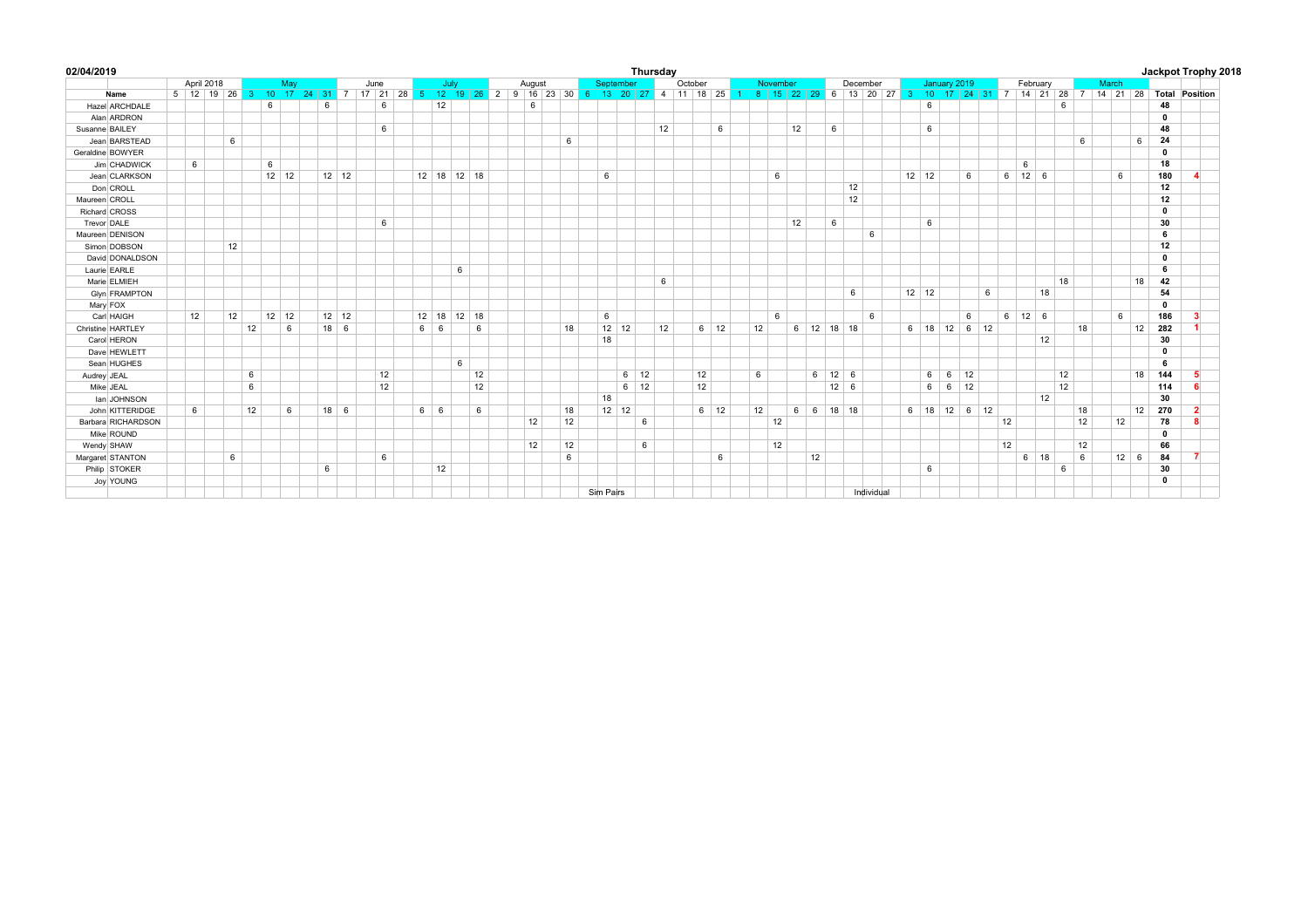| 02/04/2019           |            |  |    |    |              |     |        |                                  |      |        |             |    |               |        |  |    |           |  |              |             | Thursday |    |    |             |  |                                                                                                                        |    |                |                    |            |              |                |                |   |   |          |                    |       |    |    |  |             |    |              | Jackpot Trophy 2018 |
|----------------------|------------|--|----|----|--------------|-----|--------|----------------------------------|------|--------|-------------|----|---------------|--------|--|----|-----------|--|--------------|-------------|----------|----|----|-------------|--|------------------------------------------------------------------------------------------------------------------------|----|----------------|--------------------|------------|--------------|----------------|----------------|---|---|----------|--------------------|-------|----|----|--|-------------|----|--------------|---------------------|
|                      | April 2018 |  |    |    |              | May |        |                                  | June |        | July        |    |               | August |  |    | September |  |              | October     |          |    |    | November    |  |                                                                                                                        |    | December       |                    |            | January 2019 |                |                |   |   | February |                    | March |    |    |  |             |    |              |                     |
| Name                 |            |  |    |    |              |     |        | 5 12 19 26 3 10 17 24 31 7 17 21 |      | $28$ 5 |             |    |               |        |  |    |           |  |              |             |          |    |    |             |  | 12 19 26 2 9 16 23 30 6 13 20 27 4 11 18 25 1 8 15 22 29 6 13 20 27 3 10 17 24 31 7 14 21 28 7 14 21 28 Total Position |    |                |                    |            |              |                |                |   |   |          |                    |       |    |    |  |             |    |              |                     |
| Hazel ARCHDALE       |            |  |    | 6  |              |     | 6      |                                  | 6    |        |             | 12 |               |        |  | 6  |           |  |              |             |          |    |    |             |  |                                                                                                                        |    |                |                    |            |              | 6              |                |   |   |          |                    |       | 6  |    |  |             |    | 48           |                     |
| Alan ARDRON          |            |  |    |    |              |     |        |                                  |      |        |             |    |               |        |  |    |           |  |              |             |          |    |    |             |  |                                                                                                                        |    |                |                    |            |              |                |                |   |   |          |                    |       |    |    |  |             |    | $\mathbf{0}$ |                     |
| Susanne BAILEY       |            |  |    |    |              |     |        |                                  | 6    |        |             |    |               |        |  |    |           |  |              |             |          | 12 |    | 6           |  |                                                                                                                        | 12 |                | 6                  |            |              | 6              |                |   |   |          |                    |       |    |    |  |             |    | 48           |                     |
| Jean BARSTEAD        |            |  | 6  |    |              |     |        |                                  |      |        |             |    |               |        |  |    | 6         |  |              |             |          |    |    |             |  |                                                                                                                        |    |                |                    |            |              |                |                |   |   |          |                    |       |    | 6  |  |             | 6  | 24           |                     |
| Geraldine BOWYER     |            |  |    |    |              |     |        |                                  |      |        |             |    |               |        |  |    |           |  |              |             |          |    |    |             |  |                                                                                                                        |    |                |                    |            |              |                |                |   |   |          |                    |       |    |    |  |             |    | $\mathbf{0}$ |                     |
| Jim CHADWICK         | 6          |  |    |    | 6            |     |        |                                  |      |        |             |    |               |        |  |    |           |  |              |             |          |    |    |             |  |                                                                                                                        |    |                |                    |            |              |                |                |   |   |          | 6                  |       |    |    |  |             |    | 18           |                     |
| Jean CLARKSON        |            |  |    |    | $12$ 12      |     |        | $12$ 12                          |      |        |             |    | $12$ 18 12 18 |        |  |    |           |  | 6            |             |          |    |    |             |  | 6                                                                                                                      |    |                |                    |            |              | $12$ 12        |                | 6 |   |          | $6 \mid 12 \mid 6$ |       |    |    |  | 6           |    | 180          |                     |
| Don CROLL            |            |  |    |    |              |     |        |                                  |      |        |             |    |               |        |  |    |           |  |              |             |          |    |    |             |  |                                                                                                                        |    |                |                    | 12         |              |                |                |   |   |          |                    |       |    |    |  |             |    | 12           |                     |
| Maureen CROLL        |            |  |    |    |              |     |        |                                  |      |        |             |    |               |        |  |    |           |  |              |             |          |    |    |             |  |                                                                                                                        |    |                |                    | 12         |              |                |                |   |   |          |                    |       |    |    |  |             |    | 12           |                     |
| Richard CROSS        |            |  |    |    |              |     |        |                                  |      |        |             |    |               |        |  |    |           |  |              |             |          |    |    |             |  |                                                                                                                        |    |                |                    |            |              |                |                |   |   |          |                    |       |    |    |  |             |    | $\mathbf{0}$ |                     |
| Trevor DALE          |            |  |    |    |              |     |        |                                  | 6    |        |             |    |               |        |  |    |           |  |              |             |          |    |    |             |  |                                                                                                                        | 12 |                | 6                  |            |              | 6              |                |   |   |          |                    |       |    |    |  |             |    | 30           |                     |
| Maureen DENISON      |            |  |    |    |              |     |        |                                  |      |        |             |    |               |        |  |    |           |  |              |             |          |    |    |             |  |                                                                                                                        |    |                |                    | 6          |              |                |                |   |   |          |                    |       |    |    |  |             |    | 6            |                     |
| Simon DOBSON         |            |  | 12 |    |              |     |        |                                  |      |        |             |    |               |        |  |    |           |  |              |             |          |    |    |             |  |                                                                                                                        |    |                |                    |            |              |                |                |   |   |          |                    |       |    |    |  |             |    | 12           |                     |
| David DONALDSON      |            |  |    |    |              |     |        |                                  |      |        |             |    |               |        |  |    |           |  |              |             |          |    |    |             |  |                                                                                                                        |    |                |                    |            |              |                |                |   |   |          |                    |       |    |    |  |             |    | $\mathbf{0}$ |                     |
| Laurie EARLE         |            |  |    |    |              |     |        |                                  |      |        |             | 6  |               |        |  |    |           |  |              |             |          |    |    |             |  |                                                                                                                        |    |                |                    |            |              |                |                |   |   |          |                    |       |    |    |  |             |    | 6            |                     |
| Marie ELMIEH         |            |  |    |    |              |     |        |                                  |      |        |             |    |               |        |  |    |           |  |              |             |          | 6  |    |             |  |                                                                                                                        |    |                |                    |            |              |                |                |   |   |          |                    |       | 18 |    |  |             | 18 | 42           |                     |
| <b>Glyn FRAMPTON</b> |            |  |    |    |              |     |        |                                  |      |        |             |    |               |        |  |    |           |  |              |             |          |    |    |             |  |                                                                                                                        |    |                |                    | 6          |              | $12$ 12        |                |   | 6 |          |                    | 18    |    |    |  |             |    | 54           |                     |
| Mary FOX             |            |  |    |    |              |     |        |                                  |      |        |             |    |               |        |  |    |           |  |              |             |          |    |    |             |  |                                                                                                                        |    |                |                    |            |              |                |                |   |   |          |                    |       |    |    |  |             |    | $\mathbf{0}$ |                     |
| Carl HAIGH           | 12         |  | 12 |    | $12 \mid 12$ |     |        | $12 \mid 12$                     |      |        |             |    | $12$ 18 12 18 |        |  |    |           |  | 6            |             |          |    |    |             |  | 6                                                                                                                      |    |                |                    | 6          |              |                |                | 6 |   |          | $6 \mid 12 \mid 6$ |       |    |    |  | 6           |    | 186          | 3                   |
| Christine HARTLEY    |            |  |    | 12 | 6            |     |        | $18 \quad 6$                     |      |        | $6 \quad 6$ |    | 6             |        |  |    | 18        |  | $12 \mid 12$ |             |          | 12 |    | $6 \mid 12$ |  | 12                                                                                                                     |    |                | 6 12 18 18         |            |              |                | $6$ 18 12 6 12 |   |   |          |                    |       |    | 18 |  |             | 12 | 282          | $\blacksquare$      |
| Carol HERON          |            |  |    |    |              |     |        |                                  |      |        |             |    |               |        |  |    |           |  | 18           |             |          |    |    |             |  |                                                                                                                        |    |                |                    |            |              |                |                |   |   |          |                    | 12    |    |    |  |             |    | 30           |                     |
| Dave HEWLETT         |            |  |    |    |              |     |        |                                  |      |        |             |    |               |        |  |    |           |  |              |             |          |    |    |             |  |                                                                                                                        |    |                |                    |            |              |                |                |   |   |          |                    |       |    |    |  |             |    | $\mathbf{0}$ |                     |
| Sean HUGHES          |            |  |    |    |              |     |        |                                  |      |        |             | 6  |               |        |  |    |           |  |              |             |          |    |    |             |  |                                                                                                                        |    |                |                    |            |              |                |                |   |   |          |                    |       |    |    |  |             |    | 6            |                     |
| Audrey JEAL          |            |  |    | 6  |              |     |        |                                  | 12   |        |             |    | 12            |        |  |    |           |  |              | $6 \mid 12$ |          |    | 12 |             |  | 6                                                                                                                      |    |                | $6 \mid 12 \mid 6$ |            |              | 6 <sup>1</sup> | 6 12           |   |   |          |                    |       | 12 |    |  |             | 18 | 144          | 5                   |
| Mike JEAL            |            |  |    | 6  |              |     |        |                                  | 12   |        |             |    | 12            |        |  |    |           |  |              | $6 \mid 12$ |          |    | 12 |             |  |                                                                                                                        |    |                | $12 \mid 6$        |            |              |                | $6 \t 6 \t 12$ |   |   |          |                    |       | 12 |    |  |             |    | 114          | 6                   |
| lan JOHNSON          |            |  |    |    |              |     |        |                                  |      |        |             |    |               |        |  |    |           |  | 18           |             |          |    |    |             |  |                                                                                                                        |    |                |                    |            |              |                |                |   |   |          |                    | 12    |    |    |  |             |    | 30           |                     |
| John KITTERIDGE      | 6          |  |    | 12 | 6            |     | $18$ 6 |                                  |      |        | $6 \mid 6$  |    | 6             |        |  |    | 18        |  | $12 \mid 12$ |             |          |    |    | $6 \mid 12$ |  | 12                                                                                                                     | 6  | 6 <sup>6</sup> | 18 18              |            |              |                | $6$ 18 12 6 12 |   |   |          |                    |       |    | 18 |  |             | 12 | 270          | $\overline{2}$      |
| Barbara RICHARDSON   |            |  |    |    |              |     |        |                                  |      |        |             |    |               |        |  | 12 | 12        |  |              |             | 6        |    |    |             |  | 12                                                                                                                     |    |                |                    |            |              |                |                |   |   | 12       |                    |       |    | 12 |  | 12          |    | 78           | 8                   |
| Mike ROUND           |            |  |    |    |              |     |        |                                  |      |        |             |    |               |        |  |    |           |  |              |             |          |    |    |             |  |                                                                                                                        |    |                |                    |            |              |                |                |   |   |          |                    |       |    |    |  |             |    | $\mathbf{0}$ |                     |
| Wendy SHAW           |            |  |    |    |              |     |        |                                  |      |        |             |    |               |        |  | 12 | 12        |  |              |             | 6        |    |    |             |  | 12                                                                                                                     |    |                |                    |            |              |                |                |   |   | 12       |                    |       |    | 12 |  |             |    | 66           |                     |
| Margaret STANTON     |            |  | 6  |    |              |     |        |                                  | 6    |        |             |    |               |        |  |    | 6         |  |              |             |          |    |    | 6           |  |                                                                                                                        |    | 12             |                    |            |              |                |                |   |   |          | $6 \mid 18$        |       |    | 6  |  | $12 \mid 6$ |    | 84           | $\overline{7}$      |
| Philip STOKER        |            |  |    |    |              |     | 6      |                                  |      |        |             | 12 |               |        |  |    |           |  |              |             |          |    |    |             |  |                                                                                                                        |    |                |                    |            |              | 6              |                |   |   |          |                    |       | 6  |    |  |             |    | 30           |                     |
| Joy YOUNG            |            |  |    |    |              |     |        |                                  |      |        |             |    |               |        |  |    |           |  |              |             |          |    |    |             |  |                                                                                                                        |    |                |                    |            |              |                |                |   |   |          |                    |       |    |    |  |             |    | 0            |                     |
|                      |            |  |    |    |              |     |        |                                  |      |        |             |    |               |        |  |    |           |  | Sim Pairs    |             |          |    |    |             |  |                                                                                                                        |    |                |                    | Individual |              |                |                |   |   |          |                    |       |    |    |  |             |    |              |                     |